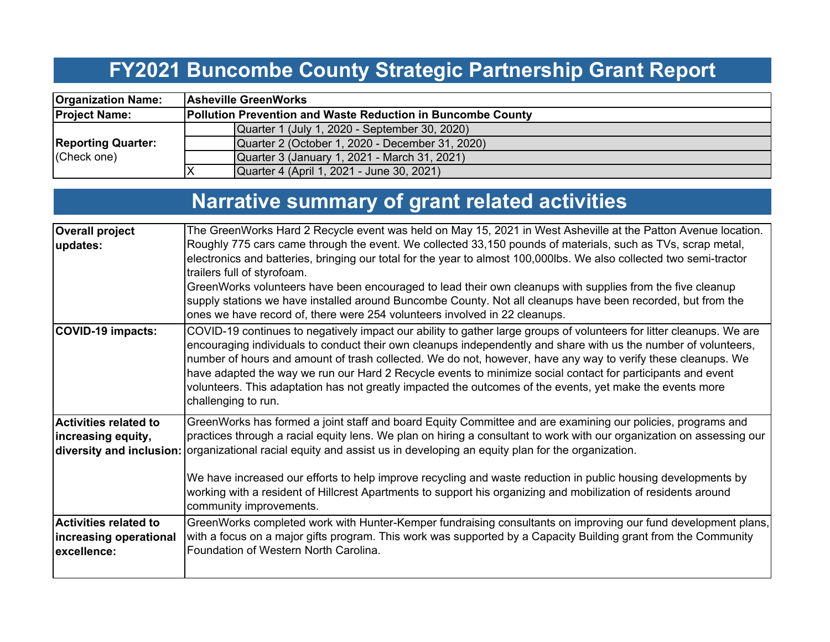## **FY2021 Buncombe County Strategic Partnership Grant Report**

| <b>Organization Name:</b>                | <b>Asheville GreenWorks</b>                                        |  |  |  |  |  |  |  |  |
|------------------------------------------|--------------------------------------------------------------------|--|--|--|--|--|--|--|--|
| <b>Project Name:</b>                     | <b>Pollution Prevention and Waste Reduction in Buncombe County</b> |  |  |  |  |  |  |  |  |
|                                          | Quarter 1 (July 1, 2020 - September 30, 2020)                      |  |  |  |  |  |  |  |  |
| <b>Reporting Quarter:</b><br>(Check one) | Quarter 2 (October 1, 2020 - December 31, 2020)                    |  |  |  |  |  |  |  |  |
|                                          | Quarter 3 (January 1, 2021 - March 31, 2021)                       |  |  |  |  |  |  |  |  |
|                                          | Quarter 4 (April 1, 2021 - June 30, 2021)                          |  |  |  |  |  |  |  |  |

# **Narrative summary of grant related activities**

| <b>Overall project</b>                                                | The GreenWorks Hard 2 Recycle event was held on May 15, 2021 in West Asheville at the Patton Avenue location.                                                                                                                                                                                                                                                                                                                                                                                                                                                                                                                |
|-----------------------------------------------------------------------|------------------------------------------------------------------------------------------------------------------------------------------------------------------------------------------------------------------------------------------------------------------------------------------------------------------------------------------------------------------------------------------------------------------------------------------------------------------------------------------------------------------------------------------------------------------------------------------------------------------------------|
| updates:                                                              | Roughly 775 cars came through the event. We collected 33,150 pounds of materials, such as TVs, scrap metal,<br>electronics and batteries, bringing our total for the year to almost 100,000lbs. We also collected two semi-tractor<br>trailers full of styrofoam.                                                                                                                                                                                                                                                                                                                                                            |
|                                                                       | GreenWorks volunteers have been encouraged to lead their own cleanups with supplies from the five cleanup<br>supply stations we have installed around Buncombe County. Not all cleanups have been recorded, but from the<br>ones we have record of, there were 254 volunteers involved in 22 cleanups.                                                                                                                                                                                                                                                                                                                       |
| COVID-19 impacts:                                                     | COVID-19 continues to negatively impact our ability to gather large groups of volunteers for litter cleanups. We are<br>encouraging individuals to conduct their own cleanups independently and share with us the number of volunteers,<br>number of hours and amount of trash collected. We do not, however, have any way to verify these cleanups. We<br>have adapted the way we run our Hard 2 Recycle events to minimize social contact for participants and event<br>volunteers. This adaptation has not greatly impacted the outcomes of the events, yet make the events more<br>challenging to run.                   |
| <b>Activities related to</b><br>increasing equity,                    | GreenWorks has formed a joint staff and board Equity Committee and are examining our policies, programs and<br>practices through a racial equity lens. We plan on hiring a consultant to work with our organization on assessing our<br>diversity and inclusion: organizational racial equity and assist us in developing an equity plan for the organization.<br>We have increased our efforts to help improve recycling and waste reduction in public housing developments by<br>working with a resident of Hillcrest Apartments to support his organizing and mobilization of residents around<br>community improvements. |
| <b>Activities related to</b><br>increasing operational<br>excellence: | GreenWorks completed work with Hunter-Kemper fundraising consultants on improving our fund development plans,<br>with a focus on a major gifts program. This work was supported by a Capacity Building grant from the Community<br>Foundation of Western North Carolina.                                                                                                                                                                                                                                                                                                                                                     |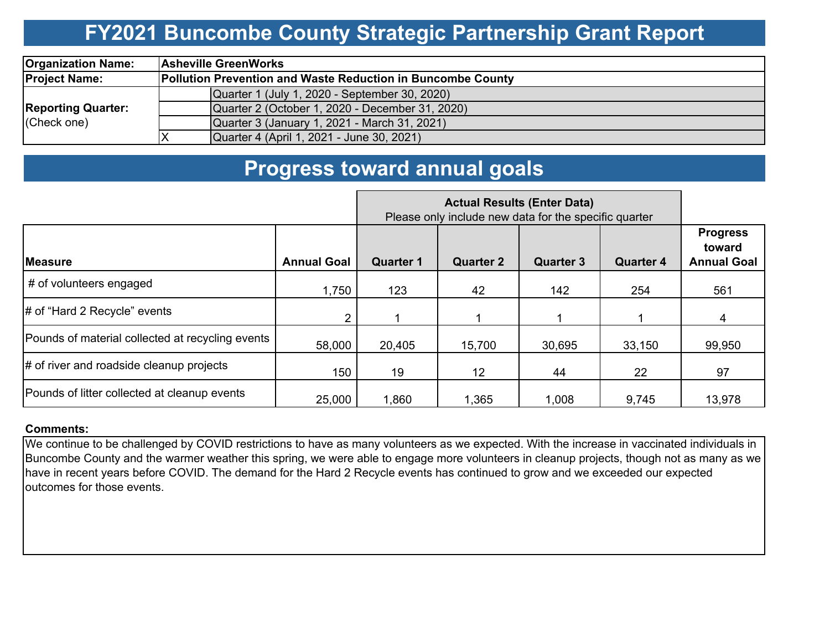### **FY2021 Buncombe County Strategic Partnership Grant Report**

| <b>Organization Name:</b>                | <b>Asheville GreenWorks</b> |                                                                    |  |  |  |  |  |  |  |  |
|------------------------------------------|-----------------------------|--------------------------------------------------------------------|--|--|--|--|--|--|--|--|
| <b>Project Name:</b>                     |                             | <b>Pollution Prevention and Waste Reduction in Buncombe County</b> |  |  |  |  |  |  |  |  |
|                                          |                             | Quarter 1 (July 1, 2020 - September 30, 2020)                      |  |  |  |  |  |  |  |  |
| <b>Reporting Quarter:</b><br>(Check one) |                             | Quarter 2 (October 1, 2020 - December 31, 2020)                    |  |  |  |  |  |  |  |  |
|                                          |                             | Quarter 3 (January 1, 2021 - March 31, 2021)                       |  |  |  |  |  |  |  |  |
|                                          |                             | Quarter 4 (April 1, 2021 - June 30, 2021)                          |  |  |  |  |  |  |  |  |

### **Progress toward annual goals**

|                                                  |                    | Please only include new data for the specific quarter |                  |                  |                  |                                                 |
|--------------------------------------------------|--------------------|-------------------------------------------------------|------------------|------------------|------------------|-------------------------------------------------|
| <b>IMeasure</b>                                  | <b>Annual Goal</b> | <b>Quarter 1</b>                                      | <b>Quarter 2</b> | <b>Quarter 3</b> | <b>Quarter 4</b> | <b>Progress</b><br>toward<br><b>Annual Goal</b> |
| # of volunteers engaged                          | 1,750              | 123                                                   | 42               | 142              | 254              | 561                                             |
| $\#$ of "Hard 2 Recycle" events                  | $\overline{2}$     |                                                       |                  |                  |                  | 4                                               |
| Pounds of material collected at recycling events | 58,000             | 20,405                                                | 15,700           | 30,695           | 33,150           | 99,950                                          |
| $\#$ of river and roadside cleanup projects      | 150                | 19                                                    | 12 <sup>2</sup>  | 44               | 22               | 97                                              |
| Pounds of litter collected at cleanup events     | 25,000             | 1,860                                                 | 1,365            | 1,008            | 9,745            | 13,978                                          |

#### **Comments:**

We continue to be challenged by COVID restrictions to have as many volunteers as we expected. With the increase in vaccinated individuals in Buncombe County and the warmer weather this spring, we were able to engage more volunteers in cleanup projects, though not as many as we have in recent years before COVID. The demand for the Hard 2 Recycle events has continued to grow and we exceeded our expected outcomes for those events.